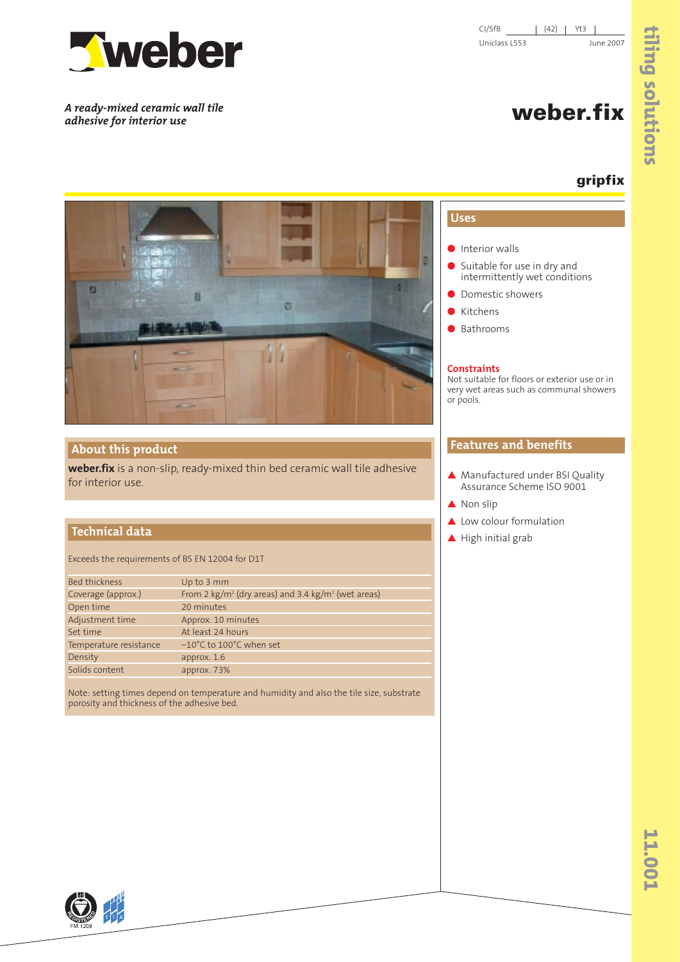

*A ready-mixed ceramic wall tile adhesive for interior use*

CI/SfB | (42) | Yt3 | Uniclass L553 June 2007

# **weber.fix**

## **gripfix**



### **About this product**

**weber.fix** is a non-slip, ready-mixed thin bed ceramic wall tile adhesive for interior use.

#### **Technical data Technical data**

Exceeds the requirements of BS EN 12004 for D1T

| Bed thickness          | Up to 3 mm                                                                 |
|------------------------|----------------------------------------------------------------------------|
| Coverage (approx.)     | From 2 kg/m <sup>2</sup> (dry areas) and 3.4 kg/m <sup>2</sup> (wet areas) |
| Open time              | 20 minutes                                                                 |
| Adjustment time        | Approx. 10 minutes                                                         |
| Set time               | At least 24 hours                                                          |
| Temperature resistance | $-10^{\circ}$ C to 100 $^{\circ}$ C when set                               |
| Density                | approx. 1.6                                                                |
| Solids content         | approx. 73%                                                                |
|                        |                                                                            |

Note: setting times depend on temperature and humidity and also the tile size, substrate porosity and thickness of the adhesive bed.

## **Uses**

- Interior walls
- Suitable for use in dry and intermittently wet conditions
- Domestic showers
- Kitchens
- Bathrooms

#### **Constraints**

Not suitable for floors or exterior use or in very wet areas such as communal showers or pools.

#### **Features and benefits**

- ▲ Manufactured under BSI Quality Assurance Scheme ISO 9001
- ▲ Non slip
- ▲ Low colour formulation
- ▲ High initial grab